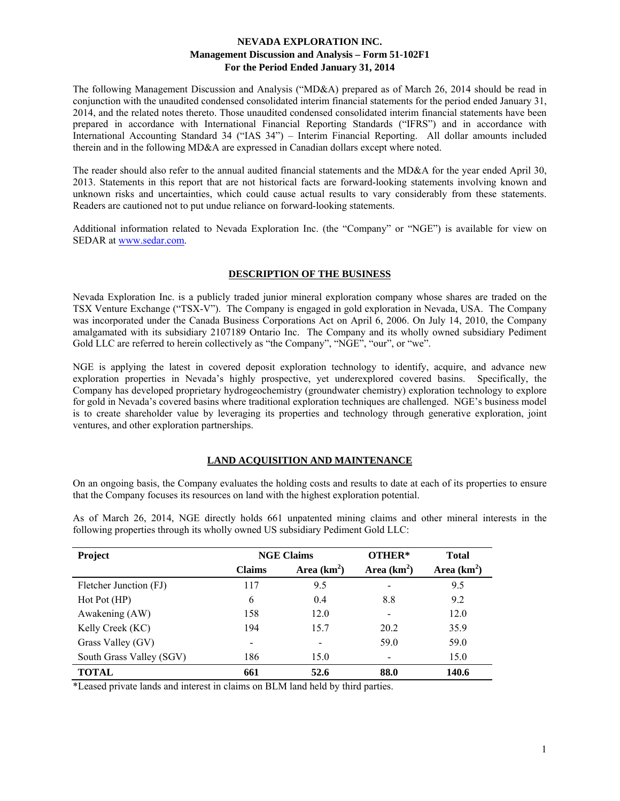The following Management Discussion and Analysis ("MD&A) prepared as of March 26, 2014 should be read in conjunction with the unaudited condensed consolidated interim financial statements for the period ended January 31, 2014, and the related notes thereto. Those unaudited condensed consolidated interim financial statements have been prepared in accordance with International Financial Reporting Standards ("IFRS") and in accordance with International Accounting Standard 34 ("IAS 34") – Interim Financial Reporting. All dollar amounts included therein and in the following MD&A are expressed in Canadian dollars except where noted.

The reader should also refer to the annual audited financial statements and the MD&A for the year ended April 30, 2013. Statements in this report that are not historical facts are forward-looking statements involving known and unknown risks and uncertainties, which could cause actual results to vary considerably from these statements. Readers are cautioned not to put undue reliance on forward-looking statements.

Additional information related to Nevada Exploration Inc. (the "Company" or "NGE") is available for view on SEDAR at www.sedar.com.

#### **DESCRIPTION OF THE BUSINESS**

Nevada Exploration Inc. is a publicly traded junior mineral exploration company whose shares are traded on the TSX Venture Exchange ("TSX-V"). The Company is engaged in gold exploration in Nevada, USA. The Company was incorporated under the Canada Business Corporations Act on April 6, 2006. On July 14, 2010, the Company amalgamated with its subsidiary 2107189 Ontario Inc. The Company and its wholly owned subsidiary Pediment Gold LLC are referred to herein collectively as "the Company", "NGE", "our", or "we".

NGE is applying the latest in covered deposit exploration technology to identify, acquire, and advance new exploration properties in Nevada's highly prospective, yet underexplored covered basins. Specifically, the Company has developed proprietary hydrogeochemistry (groundwater chemistry) exploration technology to explore for gold in Nevada's covered basins where traditional exploration techniques are challenged. NGE's business model is to create shareholder value by leveraging its properties and technology through generative exploration, joint ventures, and other exploration partnerships.

## **LAND ACQUISITION AND MAINTENANCE**

On an ongoing basis, the Company evaluates the holding costs and results to date at each of its properties to ensure that the Company focuses its resources on land with the highest exploration potential.

| Project                  | <b>NGE Claims</b> |               | OTHER*       | <b>Total</b>  |  |
|--------------------------|-------------------|---------------|--------------|---------------|--|
|                          | <b>Claims</b>     | Area $(km^2)$ | Area $(km2)$ | Area $(km^2)$ |  |
| Fletcher Junction (FJ)   | 117               | 9.5           |              | 9.5           |  |
| Hot Pot(HP)              | 6                 | 0.4           | 8.8          | 9.2           |  |
| Awakening (AW)           | 158               | 12.0          |              | 12.0          |  |
| Kelly Creek (KC)         | 194               | 15.7          | 20.2         | 35.9          |  |
| Grass Valley (GV)        |                   |               | 59.0         | 59.0          |  |
| South Grass Valley (SGV) | 186               | 15.0          |              | 15.0          |  |
| <b>TOTAL</b>             | 661               | 52.6          | 88.0         | 140.6         |  |

As of March 26, 2014, NGE directly holds 661 unpatented mining claims and other mineral interests in the following properties through its wholly owned US subsidiary Pediment Gold LLC:

\*Leased private lands and interest in claims on BLM land held by third parties.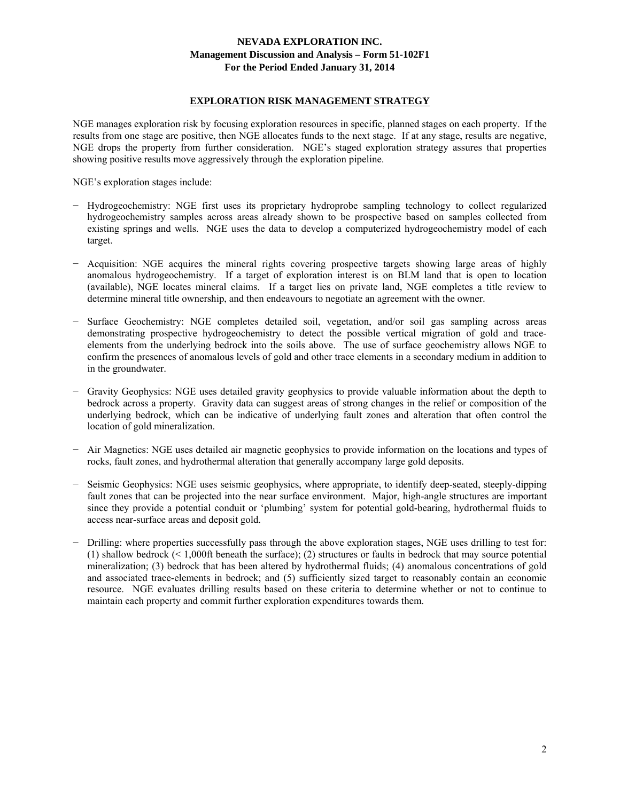#### **EXPLORATION RISK MANAGEMENT STRATEGY**

NGE manages exploration risk by focusing exploration resources in specific, planned stages on each property. If the results from one stage are positive, then NGE allocates funds to the next stage. If at any stage, results are negative, NGE drops the property from further consideration. NGE's staged exploration strategy assures that properties showing positive results move aggressively through the exploration pipeline.

NGE's exploration stages include:

- − Hydrogeochemistry: NGE first uses its proprietary hydroprobe sampling technology to collect regularized hydrogeochemistry samples across areas already shown to be prospective based on samples collected from existing springs and wells. NGE uses the data to develop a computerized hydrogeochemistry model of each target.
- − Acquisition: NGE acquires the mineral rights covering prospective targets showing large areas of highly anomalous hydrogeochemistry. If a target of exploration interest is on BLM land that is open to location (available), NGE locates mineral claims. If a target lies on private land, NGE completes a title review to determine mineral title ownership, and then endeavours to negotiate an agreement with the owner.
- − Surface Geochemistry: NGE completes detailed soil, vegetation, and/or soil gas sampling across areas demonstrating prospective hydrogeochemistry to detect the possible vertical migration of gold and traceelements from the underlying bedrock into the soils above. The use of surface geochemistry allows NGE to confirm the presences of anomalous levels of gold and other trace elements in a secondary medium in addition to in the groundwater.
- − Gravity Geophysics: NGE uses detailed gravity geophysics to provide valuable information about the depth to bedrock across a property. Gravity data can suggest areas of strong changes in the relief or composition of the underlying bedrock, which can be indicative of underlying fault zones and alteration that often control the location of gold mineralization.
- − Air Magnetics: NGE uses detailed air magnetic geophysics to provide information on the locations and types of rocks, fault zones, and hydrothermal alteration that generally accompany large gold deposits.
- − Seismic Geophysics: NGE uses seismic geophysics, where appropriate, to identify deep-seated, steeply-dipping fault zones that can be projected into the near surface environment. Major, high-angle structures are important since they provide a potential conduit or 'plumbing' system for potential gold-bearing, hydrothermal fluids to access near-surface areas and deposit gold.
- − Drilling: where properties successfully pass through the above exploration stages, NGE uses drilling to test for: (1) shallow bedrock (< 1,000ft beneath the surface); (2) structures or faults in bedrock that may source potential mineralization; (3) bedrock that has been altered by hydrothermal fluids; (4) anomalous concentrations of gold and associated trace-elements in bedrock; and (5) sufficiently sized target to reasonably contain an economic resource. NGE evaluates drilling results based on these criteria to determine whether or not to continue to maintain each property and commit further exploration expenditures towards them.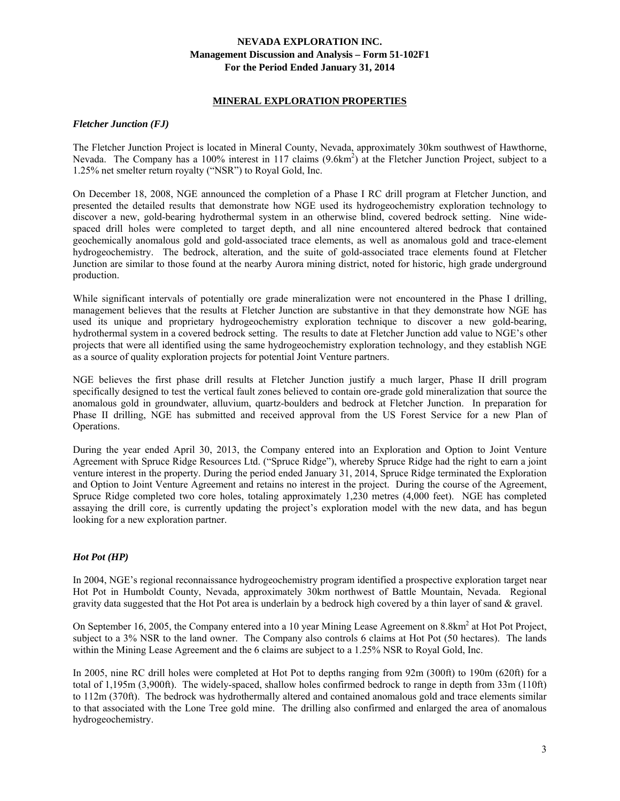#### **MINERAL EXPLORATION PROPERTIES**

#### *Fletcher Junction (FJ)*

The Fletcher Junction Project is located in Mineral County, Nevada, approximately 30km southwest of Hawthorne, Nevada. The Company has a 100% interest in 117 claims (9.6km<sup>2</sup>) at the Fletcher Junction Project, subject to a 1.25% net smelter return royalty ("NSR") to Royal Gold, Inc.

On December 18, 2008, NGE announced the completion of a Phase I RC drill program at Fletcher Junction, and presented the detailed results that demonstrate how NGE used its hydrogeochemistry exploration technology to discover a new, gold-bearing hydrothermal system in an otherwise blind, covered bedrock setting. Nine widespaced drill holes were completed to target depth, and all nine encountered altered bedrock that contained geochemically anomalous gold and gold-associated trace elements, as well as anomalous gold and trace-element hydrogeochemistry. The bedrock, alteration, and the suite of gold-associated trace elements found at Fletcher Junction are similar to those found at the nearby Aurora mining district, noted for historic, high grade underground production.

While significant intervals of potentially ore grade mineralization were not encountered in the Phase I drilling, management believes that the results at Fletcher Junction are substantive in that they demonstrate how NGE has used its unique and proprietary hydrogeochemistry exploration technique to discover a new gold-bearing, hydrothermal system in a covered bedrock setting. The results to date at Fletcher Junction add value to NGE's other projects that were all identified using the same hydrogeochemistry exploration technology, and they establish NGE as a source of quality exploration projects for potential Joint Venture partners.

NGE believes the first phase drill results at Fletcher Junction justify a much larger, Phase II drill program specifically designed to test the vertical fault zones believed to contain ore-grade gold mineralization that source the anomalous gold in groundwater, alluvium, quartz-boulders and bedrock at Fletcher Junction. In preparation for Phase II drilling, NGE has submitted and received approval from the US Forest Service for a new Plan of Operations.

During the year ended April 30, 2013, the Company entered into an Exploration and Option to Joint Venture Agreement with Spruce Ridge Resources Ltd. ("Spruce Ridge"), whereby Spruce Ridge had the right to earn a joint venture interest in the property. During the period ended January 31, 2014, Spruce Ridge terminated the Exploration and Option to Joint Venture Agreement and retains no interest in the project. During the course of the Agreement, Spruce Ridge completed two core holes, totaling approximately 1,230 metres (4,000 feet). NGE has completed assaying the drill core, is currently updating the project's exploration model with the new data, and has begun looking for a new exploration partner.

## *Hot Pot (HP)*

In 2004, NGE's regional reconnaissance hydrogeochemistry program identified a prospective exploration target near Hot Pot in Humboldt County, Nevada, approximately 30km northwest of Battle Mountain, Nevada. Regional gravity data suggested that the Hot Pot area is underlain by a bedrock high covered by a thin layer of sand & gravel.

On September 16, 2005, the Company entered into a 10 year Mining Lease Agreement on 8.8km<sup>2</sup> at Hot Pot Project, subject to a 3% NSR to the land owner. The Company also controls 6 claims at Hot Pot (50 hectares). The lands within the Mining Lease Agreement and the 6 claims are subject to a 1.25% NSR to Royal Gold, Inc.

In 2005, nine RC drill holes were completed at Hot Pot to depths ranging from 92m (300ft) to 190m (620ft) for a total of 1,195m (3,900ft). The widely-spaced, shallow holes confirmed bedrock to range in depth from 33m (110ft) to 112m (370ft). The bedrock was hydrothermally altered and contained anomalous gold and trace elements similar to that associated with the Lone Tree gold mine. The drilling also confirmed and enlarged the area of anomalous hydrogeochemistry.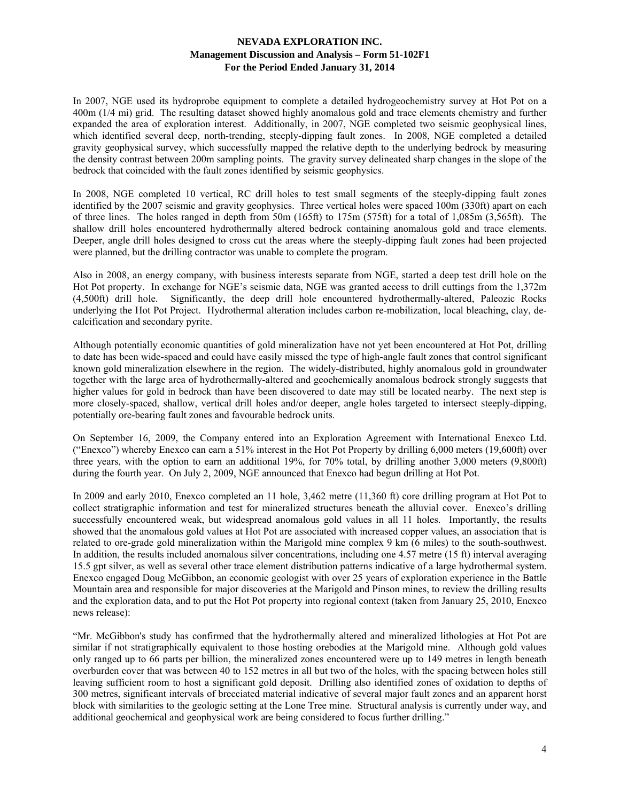In 2007, NGE used its hydroprobe equipment to complete a detailed hydrogeochemistry survey at Hot Pot on a 400m (1/4 mi) grid. The resulting dataset showed highly anomalous gold and trace elements chemistry and further expanded the area of exploration interest. Additionally, in 2007, NGE completed two seismic geophysical lines, which identified several deep, north-trending, steeply-dipping fault zones. In 2008, NGE completed a detailed gravity geophysical survey, which successfully mapped the relative depth to the underlying bedrock by measuring the density contrast between 200m sampling points. The gravity survey delineated sharp changes in the slope of the bedrock that coincided with the fault zones identified by seismic geophysics.

In 2008, NGE completed 10 vertical, RC drill holes to test small segments of the steeply-dipping fault zones identified by the 2007 seismic and gravity geophysics. Three vertical holes were spaced 100m (330ft) apart on each of three lines. The holes ranged in depth from 50m (165ft) to 175m (575ft) for a total of 1,085m (3,565ft). The shallow drill holes encountered hydrothermally altered bedrock containing anomalous gold and trace elements. Deeper, angle drill holes designed to cross cut the areas where the steeply-dipping fault zones had been projected were planned, but the drilling contractor was unable to complete the program.

Also in 2008, an energy company, with business interests separate from NGE, started a deep test drill hole on the Hot Pot property. In exchange for NGE's seismic data, NGE was granted access to drill cuttings from the 1,372m (4,500ft) drill hole. Significantly, the deep drill hole encountered hydrothermally-altered, Paleozic Rocks underlying the Hot Pot Project. Hydrothermal alteration includes carbon re-mobilization, local bleaching, clay, decalcification and secondary pyrite.

Although potentially economic quantities of gold mineralization have not yet been encountered at Hot Pot, drilling to date has been wide-spaced and could have easily missed the type of high-angle fault zones that control significant known gold mineralization elsewhere in the region. The widely-distributed, highly anomalous gold in groundwater together with the large area of hydrothermally-altered and geochemically anomalous bedrock strongly suggests that higher values for gold in bedrock than have been discovered to date may still be located nearby. The next step is more closely-spaced, shallow, vertical drill holes and/or deeper, angle holes targeted to intersect steeply-dipping, potentially ore-bearing fault zones and favourable bedrock units.

On September 16, 2009, the Company entered into an Exploration Agreement with International Enexco Ltd. ("Enexco") whereby Enexco can earn a 51% interest in the Hot Pot Property by drilling 6,000 meters (19,600ft) over three years, with the option to earn an additional 19%, for 70% total, by drilling another 3,000 meters (9,800ft) during the fourth year. On July 2, 2009, NGE announced that Enexco had begun drilling at Hot Pot.

In 2009 and early 2010, Enexco completed an 11 hole, 3,462 metre (11,360 ft) core drilling program at Hot Pot to collect stratigraphic information and test for mineralized structures beneath the alluvial cover. Enexco's drilling successfully encountered weak, but widespread anomalous gold values in all 11 holes. Importantly, the results showed that the anomalous gold values at Hot Pot are associated with increased copper values, an association that is related to ore-grade gold mineralization within the Marigold mine complex 9 km (6 miles) to the south-southwest. In addition, the results included anomalous silver concentrations, including one 4.57 metre (15 ft) interval averaging 15.5 gpt silver, as well as several other trace element distribution patterns indicative of a large hydrothermal system. Enexco engaged Doug McGibbon, an economic geologist with over 25 years of exploration experience in the Battle Mountain area and responsible for major discoveries at the Marigold and Pinson mines, to review the drilling results and the exploration data, and to put the Hot Pot property into regional context (taken from January 25, 2010, Enexco news release):

"Mr. McGibbon's study has confirmed that the hydrothermally altered and mineralized lithologies at Hot Pot are similar if not stratigraphically equivalent to those hosting orebodies at the Marigold mine. Although gold values only ranged up to 66 parts per billion, the mineralized zones encountered were up to 149 metres in length beneath overburden cover that was between 40 to 152 metres in all but two of the holes, with the spacing between holes still leaving sufficient room to host a significant gold deposit. Drilling also identified zones of oxidation to depths of 300 metres, significant intervals of brecciated material indicative of several major fault zones and an apparent horst block with similarities to the geologic setting at the Lone Tree mine. Structural analysis is currently under way, and additional geochemical and geophysical work are being considered to focus further drilling."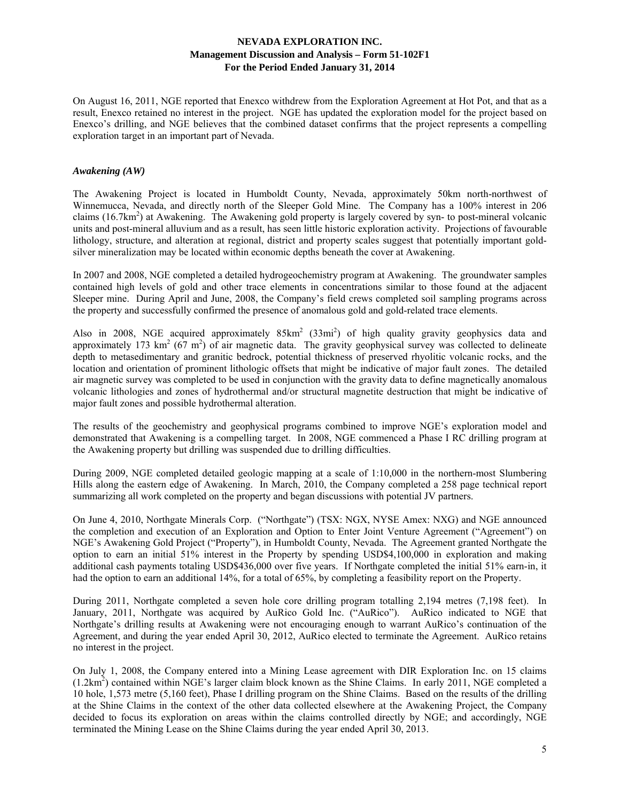On August 16, 2011, NGE reported that Enexco withdrew from the Exploration Agreement at Hot Pot, and that as a result, Enexco retained no interest in the project. NGE has updated the exploration model for the project based on Enexco's drilling, and NGE believes that the combined dataset confirms that the project represents a compelling exploration target in an important part of Nevada.

#### *Awakening (AW)*

The Awakening Project is located in Humboldt County, Nevada, approximately 50km north-northwest of Winnemucca, Nevada, and directly north of the Sleeper Gold Mine. The Company has a 100% interest in 206 claims (16.7km<sup>2</sup>) at Awakening. The Awakening gold property is largely covered by syn- to post-mineral volcanic units and post-mineral alluvium and as a result, has seen little historic exploration activity. Projections of favourable lithology, structure, and alteration at regional, district and property scales suggest that potentially important goldsilver mineralization may be located within economic depths beneath the cover at Awakening.

In 2007 and 2008, NGE completed a detailed hydrogeochemistry program at Awakening. The groundwater samples contained high levels of gold and other trace elements in concentrations similar to those found at the adjacent Sleeper mine. During April and June, 2008, the Company's field crews completed soil sampling programs across the property and successfully confirmed the presence of anomalous gold and gold-related trace elements.

Also in 2008, NGE acquired approximately  $85 \text{km}^2$  ( $33 \text{mi}^2$ ) of high quality gravity geophysics data and approximately 173 km<sup>2</sup> ( $67 \text{ m}^2$ ) of air magnetic data. The gravity geophysical survey was collected to delineate depth to metasedimentary and granitic bedrock, potential thickness of preserved rhyolitic volcanic rocks, and the location and orientation of prominent lithologic offsets that might be indicative of major fault zones. The detailed air magnetic survey was completed to be used in conjunction with the gravity data to define magnetically anomalous volcanic lithologies and zones of hydrothermal and/or structural magnetite destruction that might be indicative of major fault zones and possible hydrothermal alteration.

The results of the geochemistry and geophysical programs combined to improve NGE's exploration model and demonstrated that Awakening is a compelling target. In 2008, NGE commenced a Phase I RC drilling program at the Awakening property but drilling was suspended due to drilling difficulties.

During 2009, NGE completed detailed geologic mapping at a scale of 1:10,000 in the northern-most Slumbering Hills along the eastern edge of Awakening. In March, 2010, the Company completed a 258 page technical report summarizing all work completed on the property and began discussions with potential JV partners.

On June 4, 2010, Northgate Minerals Corp. ("Northgate") (TSX: NGX, NYSE Amex: NXG) and NGE announced the completion and execution of an Exploration and Option to Enter Joint Venture Agreement ("Agreement") on NGE's Awakening Gold Project ("Property"), in Humboldt County, Nevada. The Agreement granted Northgate the option to earn an initial 51% interest in the Property by spending USD\$4,100,000 in exploration and making additional cash payments totaling USD\$436,000 over five years. If Northgate completed the initial 51% earn-in, it had the option to earn an additional 14%, for a total of 65%, by completing a feasibility report on the Property.

During 2011, Northgate completed a seven hole core drilling program totalling 2,194 metres (7,198 feet). In January, 2011, Northgate was acquired by AuRico Gold Inc. ("AuRico"). AuRico indicated to NGE that Northgate's drilling results at Awakening were not encouraging enough to warrant AuRico's continuation of the Agreement, and during the year ended April 30, 2012, AuRico elected to terminate the Agreement. AuRico retains no interest in the project.

On July 1, 2008, the Company entered into a Mining Lease agreement with DIR Exploration Inc. on 15 claims  $(1.2km<sup>2</sup>)$  contained within NGE's larger claim block known as the Shine Claims. In early 2011, NGE completed a 10 hole, 1,573 metre (5,160 feet), Phase I drilling program on the Shine Claims. Based on the results of the drilling at the Shine Claims in the context of the other data collected elsewhere at the Awakening Project, the Company decided to focus its exploration on areas within the claims controlled directly by NGE; and accordingly, NGE terminated the Mining Lease on the Shine Claims during the year ended April 30, 2013.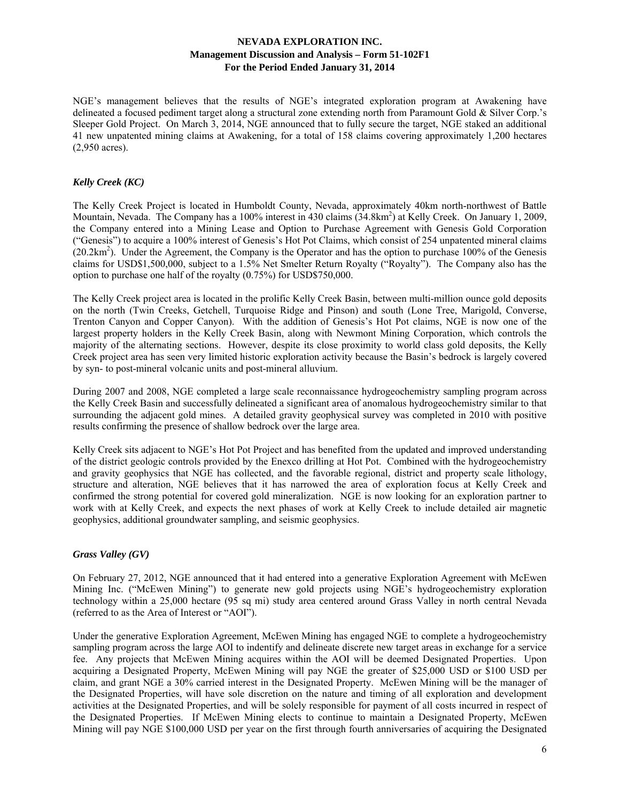NGE's management believes that the results of NGE's integrated exploration program at Awakening have delineated a focused pediment target along a structural zone extending north from Paramount Gold & Silver Corp.'s Sleeper Gold Project. On March 3, 2014, NGE announced that to fully secure the target, NGE staked an additional 41 new unpatented mining claims at Awakening, for a total of 158 claims covering approximately 1,200 hectares (2,950 acres).

# *Kelly Creek (KC)*

The Kelly Creek Project is located in Humboldt County, Nevada, approximately 40km north-northwest of Battle Mountain, Nevada. The Company has a 100% interest in 430 claims (34.8km<sup>2</sup>) at Kelly Creek. On January 1, 2009, the Company entered into a Mining Lease and Option to Purchase Agreement with Genesis Gold Corporation ("Genesis") to acquire a 100% interest of Genesis's Hot Pot Claims, which consist of 254 unpatented mineral claims  $(20.2 \text{km}^2)$ . Under the Agreement, the Company is the Operator and has the option to purchase 100% of the Genesis claims for USD\$1,500,000, subject to a 1.5% Net Smelter Return Royalty ("Royalty"). The Company also has the option to purchase one half of the royalty (0.75%) for USD\$750,000.

The Kelly Creek project area is located in the prolific Kelly Creek Basin, between multi-million ounce gold deposits on the north (Twin Creeks, Getchell, Turquoise Ridge and Pinson) and south (Lone Tree, Marigold, Converse, Trenton Canyon and Copper Canyon). With the addition of Genesis's Hot Pot claims, NGE is now one of the largest property holders in the Kelly Creek Basin, along with Newmont Mining Corporation, which controls the majority of the alternating sections. However, despite its close proximity to world class gold deposits, the Kelly Creek project area has seen very limited historic exploration activity because the Basin's bedrock is largely covered by syn- to post-mineral volcanic units and post-mineral alluvium.

During 2007 and 2008, NGE completed a large scale reconnaissance hydrogeochemistry sampling program across the Kelly Creek Basin and successfully delineated a significant area of anomalous hydrogeochemistry similar to that surrounding the adjacent gold mines. A detailed gravity geophysical survey was completed in 2010 with positive results confirming the presence of shallow bedrock over the large area.

Kelly Creek sits adjacent to NGE's Hot Pot Project and has benefited from the updated and improved understanding of the district geologic controls provided by the Enexco drilling at Hot Pot. Combined with the hydrogeochemistry and gravity geophysics that NGE has collected, and the favorable regional, district and property scale lithology, structure and alteration, NGE believes that it has narrowed the area of exploration focus at Kelly Creek and confirmed the strong potential for covered gold mineralization. NGE is now looking for an exploration partner to work with at Kelly Creek, and expects the next phases of work at Kelly Creek to include detailed air magnetic geophysics, additional groundwater sampling, and seismic geophysics.

## *Grass Valley (GV)*

On February 27, 2012, NGE announced that it had entered into a generative Exploration Agreement with McEwen Mining Inc. ("McEwen Mining") to generate new gold projects using NGE's hydrogeochemistry exploration technology within a 25,000 hectare (95 sq mi) study area centered around Grass Valley in north central Nevada (referred to as the Area of Interest or "AOI").

Under the generative Exploration Agreement, McEwen Mining has engaged NGE to complete a hydrogeochemistry sampling program across the large AOI to indentify and delineate discrete new target areas in exchange for a service fee. Any projects that McEwen Mining acquires within the AOI will be deemed Designated Properties. Upon acquiring a Designated Property, McEwen Mining will pay NGE the greater of \$25,000 USD or \$100 USD per claim, and grant NGE a 30% carried interest in the Designated Property. McEwen Mining will be the manager of the Designated Properties, will have sole discretion on the nature and timing of all exploration and development activities at the Designated Properties, and will be solely responsible for payment of all costs incurred in respect of the Designated Properties. If McEwen Mining elects to continue to maintain a Designated Property, McEwen Mining will pay NGE \$100,000 USD per year on the first through fourth anniversaries of acquiring the Designated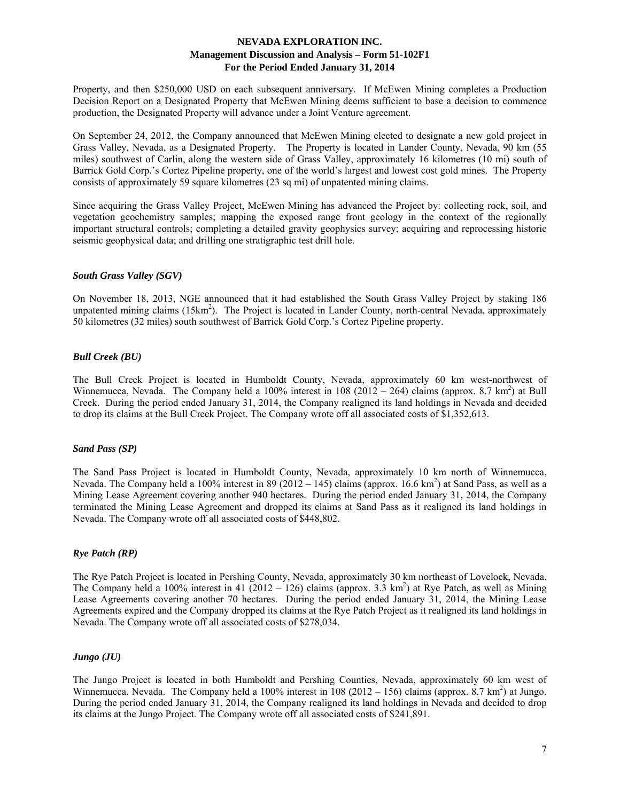Property, and then \$250,000 USD on each subsequent anniversary. If McEwen Mining completes a Production Decision Report on a Designated Property that McEwen Mining deems sufficient to base a decision to commence production, the Designated Property will advance under a Joint Venture agreement.

On September 24, 2012, the Company announced that McEwen Mining elected to designate a new gold project in Grass Valley, Nevada, as a Designated Property. The Property is located in Lander County, Nevada, 90 km (55 miles) southwest of Carlin, along the western side of Grass Valley, approximately 16 kilometres (10 mi) south of Barrick Gold Corp.'s Cortez Pipeline property, one of the world's largest and lowest cost gold mines. The Property consists of approximately 59 square kilometres (23 sq mi) of unpatented mining claims.

Since acquiring the Grass Valley Project, McEwen Mining has advanced the Project by: collecting rock, soil, and vegetation geochemistry samples; mapping the exposed range front geology in the context of the regionally important structural controls; completing a detailed gravity geophysics survey; acquiring and reprocessing historic seismic geophysical data; and drilling one stratigraphic test drill hole.

#### *South Grass Valley (SGV)*

On November 18, 2013, NGE announced that it had established the South Grass Valley Project by staking 186 unpatented mining claims (15km<sup>2</sup>). The Project is located in Lander County, north-central Nevada, approximately 50 kilometres (32 miles) south southwest of Barrick Gold Corp.'s Cortez Pipeline property.

#### *Bull Creek (BU)*

The Bull Creek Project is located in Humboldt County, Nevada, approximately 60 km west-northwest of Winnemucca, Nevada. The Company held a 100% interest in 108 (2012 – 264) claims (approx. 8.7 km<sup>2</sup>) at Bull Creek. During the period ended January 31, 2014, the Company realigned its land holdings in Nevada and decided to drop its claims at the Bull Creek Project. The Company wrote off all associated costs of \$1,352,613.

#### *Sand Pass (SP)*

The Sand Pass Project is located in Humboldt County, Nevada, approximately 10 km north of Winnemucca, Nevada. The Company held a 100% interest in 89 (2012 – 145) claims (approx. 16.6 km<sup>2</sup>) at Sand Pass, as well as a Mining Lease Agreement covering another 940 hectares. During the period ended January 31, 2014, the Company terminated the Mining Lease Agreement and dropped its claims at Sand Pass as it realigned its land holdings in Nevada. The Company wrote off all associated costs of \$448,802.

## *Rye Patch (RP)*

The Rye Patch Project is located in Pershing County, Nevada, approximately 30 km northeast of Lovelock, Nevada. The Company held a 100% interest in 41 (2012 – 126) claims (approx. 3.3 km<sup>2</sup>) at Rye Patch, as well as Mining Lease Agreements covering another 70 hectares. During the period ended January 31, 2014, the Mining Lease Agreements expired and the Company dropped its claims at the Rye Patch Project as it realigned its land holdings in Nevada. The Company wrote off all associated costs of \$278,034.

#### *Jungo (JU)*

The Jungo Project is located in both Humboldt and Pershing Counties, Nevada, approximately 60 km west of Winnemucca, Nevada. The Company held a 100% interest in  $108(2012 - 156)$  claims (approx. 8.7 km<sup>2</sup>) at Jungo. During the period ended January 31, 2014, the Company realigned its land holdings in Nevada and decided to drop its claims at the Jungo Project. The Company wrote off all associated costs of \$241,891.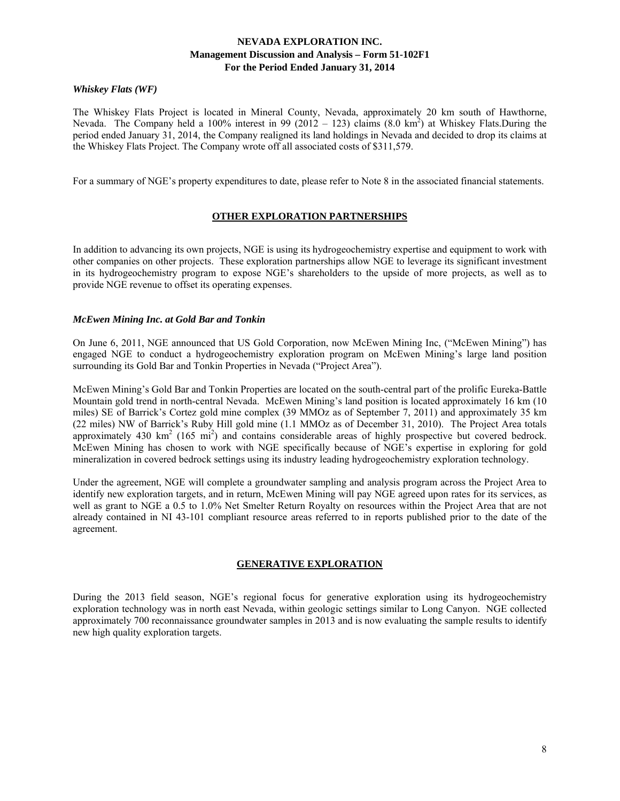# *Whiskey Flats (WF)*

The Whiskey Flats Project is located in Mineral County, Nevada, approximately 20 km south of Hawthorne, Nevada. The Company held a 100% interest in 99 (2012 – 123) claims  $(8.0 \text{ km}^2)$  at Whiskey Flats.During the period ended January 31, 2014, the Company realigned its land holdings in Nevada and decided to drop its claims at the Whiskey Flats Project. The Company wrote off all associated costs of \$311,579.

For a summary of NGE's property expenditures to date, please refer to Note 8 in the associated financial statements.

## **OTHER EXPLORATION PARTNERSHIPS**

In addition to advancing its own projects, NGE is using its hydrogeochemistry expertise and equipment to work with other companies on other projects. These exploration partnerships allow NGE to leverage its significant investment in its hydrogeochemistry program to expose NGE's shareholders to the upside of more projects, as well as to provide NGE revenue to offset its operating expenses.

#### *McEwen Mining Inc. at Gold Bar and Tonkin*

On June 6, 2011, NGE announced that US Gold Corporation, now McEwen Mining Inc, ("McEwen Mining") has engaged NGE to conduct a hydrogeochemistry exploration program on McEwen Mining's large land position surrounding its Gold Bar and Tonkin Properties in Nevada ("Project Area").

McEwen Mining's Gold Bar and Tonkin Properties are located on the south-central part of the prolific Eureka-Battle Mountain gold trend in north-central Nevada. McEwen Mining's land position is located approximately 16 km (10 miles) SE of Barrick's Cortez gold mine complex (39 MMOz as of September 7, 2011) and approximately 35 km (22 miles) NW of Barrick's Ruby Hill gold mine (1.1 MMOz as of December 31, 2010). The Project Area totals approximately 430  $\text{km}^2$  (165 mi<sup>2</sup>) and contains considerable areas of highly prospective but covered bedrock. McEwen Mining has chosen to work with NGE specifically because of NGE's expertise in exploring for gold mineralization in covered bedrock settings using its industry leading hydrogeochemistry exploration technology.

Under the agreement, NGE will complete a groundwater sampling and analysis program across the Project Area to identify new exploration targets, and in return, McEwen Mining will pay NGE agreed upon rates for its services, as well as grant to NGE a 0.5 to 1.0% Net Smelter Return Royalty on resources within the Project Area that are not already contained in NI 43-101 compliant resource areas referred to in reports published prior to the date of the agreement.

## **GENERATIVE EXPLORATION**

During the 2013 field season, NGE's regional focus for generative exploration using its hydrogeochemistry exploration technology was in north east Nevada, within geologic settings similar to Long Canyon. NGE collected approximately 700 reconnaissance groundwater samples in 2013 and is now evaluating the sample results to identify new high quality exploration targets.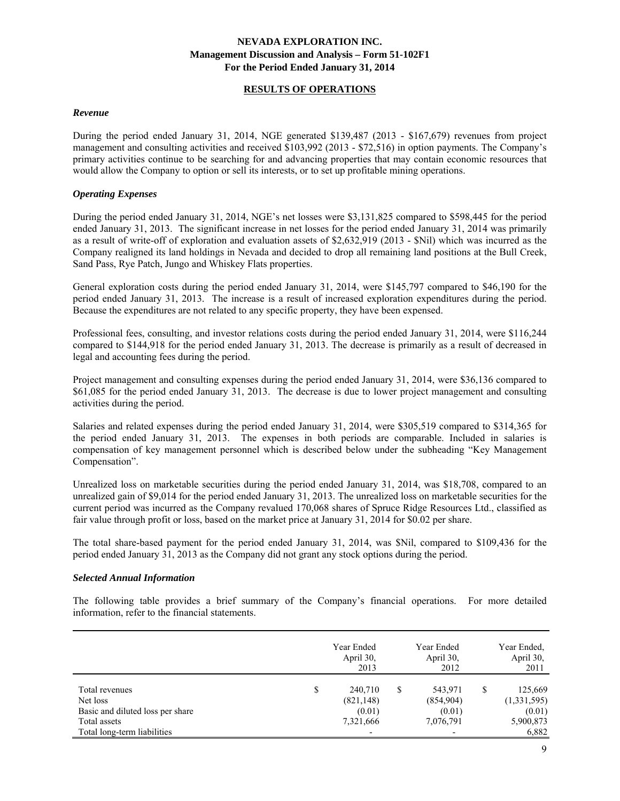# **RESULTS OF OPERATIONS**

#### *Revenue*

During the period ended January 31, 2014, NGE generated \$139,487 (2013 - \$167,679) revenues from project management and consulting activities and received \$103,992 (2013 - \$72,516) in option payments. The Company's primary activities continue to be searching for and advancing properties that may contain economic resources that would allow the Company to option or sell its interests, or to set up profitable mining operations.

## *Operating Expenses*

During the period ended January 31, 2014, NGE's net losses were \$3,131,825 compared to \$598,445 for the period ended January 31, 2013. The significant increase in net losses for the period ended January 31, 2014 was primarily as a result of write-off of exploration and evaluation assets of \$2,632,919 (2013 - \$Nil) which was incurred as the Company realigned its land holdings in Nevada and decided to drop all remaining land positions at the Bull Creek, Sand Pass, Rye Patch, Jungo and Whiskey Flats properties.

General exploration costs during the period ended January 31, 2014, were \$145,797 compared to \$46,190 for the period ended January 31, 2013. The increase is a result of increased exploration expenditures during the period. Because the expenditures are not related to any specific property, they have been expensed.

Professional fees, consulting, and investor relations costs during the period ended January 31, 2014, were \$116,244 compared to \$144,918 for the period ended January 31, 2013. The decrease is primarily as a result of decreased in legal and accounting fees during the period.

Project management and consulting expenses during the period ended January 31, 2014, were \$36,136 compared to \$61,085 for the period ended January 31, 2013. The decrease is due to lower project management and consulting activities during the period.

Salaries and related expenses during the period ended January 31, 2014, were \$305,519 compared to \$314,365 for the period ended January 31, 2013. The expenses in both periods are comparable. Included in salaries is compensation of key management personnel which is described below under the subheading "Key Management Compensation".

Unrealized loss on marketable securities during the period ended January 31, 2014, was \$18,708, compared to an unrealized gain of \$9,014 for the period ended January 31, 2013. The unrealized loss on marketable securities for the current period was incurred as the Company revalued 170,068 shares of Spruce Ridge Resources Ltd., classified as fair value through profit or loss, based on the market price at January 31, 2014 for \$0.02 per share.

The total share-based payment for the period ended January 31, 2014, was \$Nil, compared to \$109,436 for the period ended January 31, 2013 as the Company did not grant any stock options during the period.

## *Selected Annual Information*

The following table provides a brief summary of the Company's financial operations. For more detailed information, refer to the financial statements.

|                                                                                | Year Ended<br>April 30,<br>2013                    |   | Year Ended<br>April 30,<br>2012             |   | Year Ended.<br>April 30,<br>2011 |
|--------------------------------------------------------------------------------|----------------------------------------------------|---|---------------------------------------------|---|----------------------------------|
| Total revenues<br>Net loss<br>Basic and diluted loss per share<br>Total assets | \$<br>240.710<br>(821, 148)<br>(0.01)<br>7,321,666 | S | 543,971<br>(854,904)<br>(0.01)<br>7,076,791 | S | 125,669<br>(1,331,595)<br>(0.01) |
| Total long-term liabilities                                                    | $\overline{a}$                                     |   | -                                           |   | 5,900,873<br>6,882               |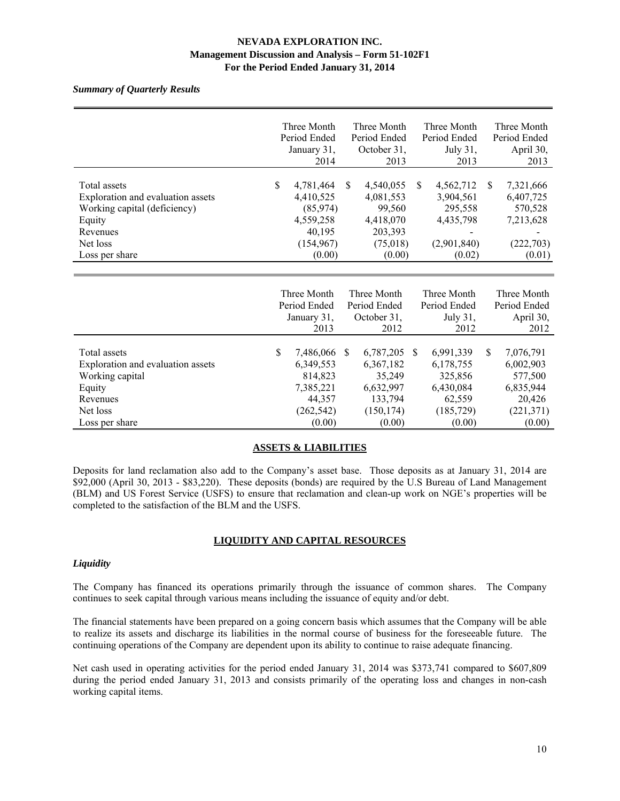# *Summary of Quarterly Results*

|                                   | Three Month     |               | Three Month  |               | Three Month  |               | Three Month  |
|-----------------------------------|-----------------|---------------|--------------|---------------|--------------|---------------|--------------|
|                                   | Period Ended    |               | Period Ended |               | Period Ended |               | Period Ended |
|                                   | January 31,     |               | October 31,  |               | July 31,     |               | April 30,    |
|                                   | 2014            |               | 2013         |               | 2013         |               | 2013         |
|                                   |                 |               |              |               |              |               |              |
| Total assets                      | \$<br>4,781,464 | <sup>\$</sup> | 4,540,055    | \$.           | 4,562,712    | <sup>\$</sup> | 7,321,666    |
| Exploration and evaluation assets | 4,410,525       |               | 4,081,553    |               | 3,904,561    |               | 6,407,725    |
| Working capital (deficiency)      | (85,974)        |               | 99,560       |               | 295,558      |               | 570,528      |
| Equity                            | 4,559,258       |               | 4,418,070    |               | 4,435,798    |               | 7,213,628    |
| Revenues                          | 40,195          |               | 203,393      |               |              |               |              |
| Net loss                          | (154, 967)      |               | (75,018)     |               | (2,901,840)  |               | (222, 703)   |
| Loss per share                    | (0.00)          |               | (0.00)       |               | (0.02)       |               | (0.01)       |
|                                   |                 |               |              |               |              |               |              |
|                                   |                 |               |              |               |              |               |              |
|                                   | Three Month     |               | Three Month  |               | Three Month  |               | Three Month  |
|                                   | Period Ended    |               | Period Ended |               | Period Ended |               | Period Ended |
|                                   | January 31,     |               | October 31,  |               | July 31,     |               | April 30,    |
|                                   | 2013            |               | 2012         |               | 2012         |               | 2012         |
|                                   |                 |               |              |               |              |               |              |
| Total assets                      | \$<br>7,486,066 | -S            | 6,787,205    | <sup>\$</sup> | 6,991,339    | <sup>\$</sup> | 7,076,791    |
| Exploration and evaluation assets | 6,349,553       |               | 6,367,182    |               | 6,178,755    |               | 6,002,903    |
| Working capital                   | 814,823         |               | 35,249       |               | 325,856      |               | 577,500      |
| Equity                            | 7,385,221       |               | 6,632,997    |               | 6,430,084    |               | 6,835,944    |
| Revenues                          | 44,357          |               | 133,794      |               | 62,559       |               | 20,426       |
| Net loss                          | (262, 542)      |               | (150, 174)   |               | (185, 729)   |               | (221, 371)   |
| Loss per share                    | (0.00)          |               | (0.00)       |               | (0.00)       |               | (0.00)       |

# **ASSETS & LIABILITIES**

Deposits for land reclamation also add to the Company's asset base. Those deposits as at January 31, 2014 are \$92,000 (April 30, 2013 - \$83,220). These deposits (bonds) are required by the U.S Bureau of Land Management (BLM) and US Forest Service (USFS) to ensure that reclamation and clean-up work on NGE's properties will be completed to the satisfaction of the BLM and the USFS.

## **LIQUIDITY AND CAPITAL RESOURCES**

#### *Liquidity*

The Company has financed its operations primarily through the issuance of common shares. The Company continues to seek capital through various means including the issuance of equity and/or debt.

The financial statements have been prepared on a going concern basis which assumes that the Company will be able to realize its assets and discharge its liabilities in the normal course of business for the foreseeable future. The continuing operations of the Company are dependent upon its ability to continue to raise adequate financing.

Net cash used in operating activities for the period ended January 31, 2014 was \$373,741 compared to \$607,809 during the period ended January 31, 2013 and consists primarily of the operating loss and changes in non-cash working capital items.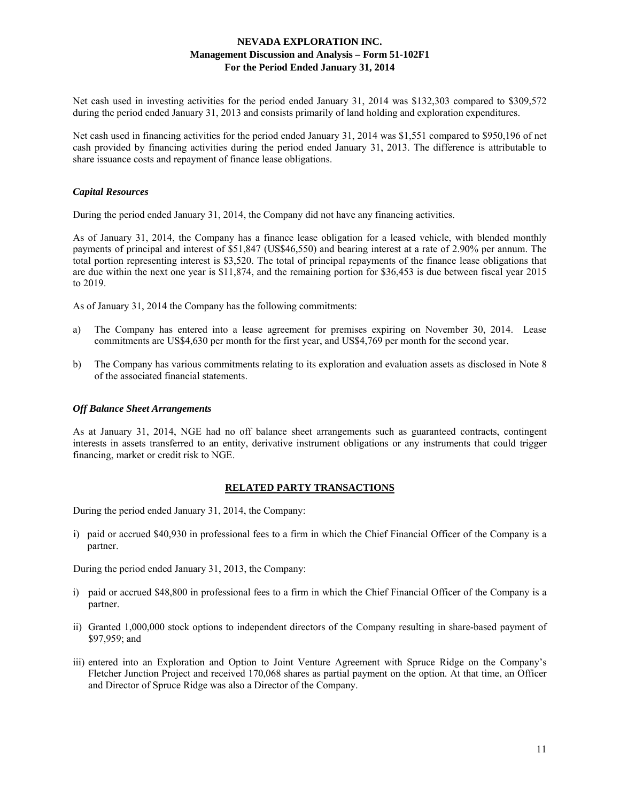Net cash used in investing activities for the period ended January 31, 2014 was \$132,303 compared to \$309,572 during the period ended January 31, 2013 and consists primarily of land holding and exploration expenditures.

Net cash used in financing activities for the period ended January 31, 2014 was \$1,551 compared to \$950,196 of net cash provided by financing activities during the period ended January 31, 2013. The difference is attributable to share issuance costs and repayment of finance lease obligations.

#### *Capital Resources*

During the period ended January 31, 2014, the Company did not have any financing activities.

As of January 31, 2014, the Company has a finance lease obligation for a leased vehicle, with blended monthly payments of principal and interest of \$51,847 (US\$46,550) and bearing interest at a rate of 2.90% per annum. The total portion representing interest is \$3,520. The total of principal repayments of the finance lease obligations that are due within the next one year is \$11,874, and the remaining portion for \$36,453 is due between fiscal year 2015 to 2019.

As of January 31, 2014 the Company has the following commitments:

- a) The Company has entered into a lease agreement for premises expiring on November 30, 2014. Lease commitments are US\$4,630 per month for the first year, and US\$4,769 per month for the second year.
- b) The Company has various commitments relating to its exploration and evaluation assets as disclosed in Note 8 of the associated financial statements.

#### *Off Balance Sheet Arrangements*

As at January 31, 2014, NGE had no off balance sheet arrangements such as guaranteed contracts, contingent interests in assets transferred to an entity, derivative instrument obligations or any instruments that could trigger financing, market or credit risk to NGE.

## **RELATED PARTY TRANSACTIONS**

During the period ended January 31, 2014, the Company:

i) paid or accrued \$40,930 in professional fees to a firm in which the Chief Financial Officer of the Company is a partner.

During the period ended January 31, 2013, the Company:

- i) paid or accrued \$48,800 in professional fees to a firm in which the Chief Financial Officer of the Company is a partner.
- ii) Granted 1,000,000 stock options to independent directors of the Company resulting in share-based payment of \$97,959; and
- iii) entered into an Exploration and Option to Joint Venture Agreement with Spruce Ridge on the Company's Fletcher Junction Project and received 170,068 shares as partial payment on the option. At that time, an Officer and Director of Spruce Ridge was also a Director of the Company.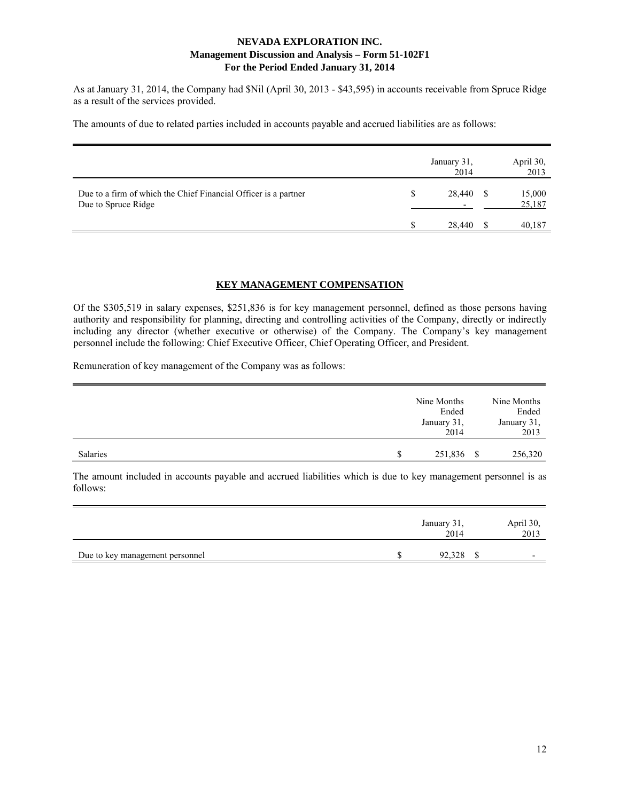As at January 31, 2014, the Company had \$Nil (April 30, 2013 - \$43,595) in accounts receivable from Spruce Ridge as a result of the services provided.

The amounts of due to related parties included in accounts payable and accrued liabilities are as follows:

|                                                                                        | January 31,<br>2014                | April 30,<br>2013 |
|----------------------------------------------------------------------------------------|------------------------------------|-------------------|
| Due to a firm of which the Chief Financial Officer is a partner<br>Due to Spruce Ridge | 28,440<br>$\overline{\phantom{0}}$ | 15,000<br>25,187  |
|                                                                                        | 28,440                             | 40,187            |

#### **KEY MANAGEMENT COMPENSATION**

Of the \$305,519 in salary expenses, \$251,836 is for key management personnel, defined as those persons having authority and responsibility for planning, directing and controlling activities of the Company, directly or indirectly including any director (whether executive or otherwise) of the Company. The Company's key management personnel include the following: Chief Executive Officer, Chief Operating Officer, and President.

Remuneration of key management of the Company was as follows:

|          | Nine Months<br>Ended<br>January 31,<br>2014 |      | Nine Months<br>Ended<br>January 31,<br>2013 |
|----------|---------------------------------------------|------|---------------------------------------------|
| Salaries | 251,836                                     | - \$ | 256,320                                     |

The amount included in accounts payable and accrued liabilities which is due to key management personnel is as follows:

|                                 | January 31,<br>2014 | April 30,<br>2013        |
|---------------------------------|---------------------|--------------------------|
| Due to key management personnel | 92.328              | $\overline{\phantom{0}}$ |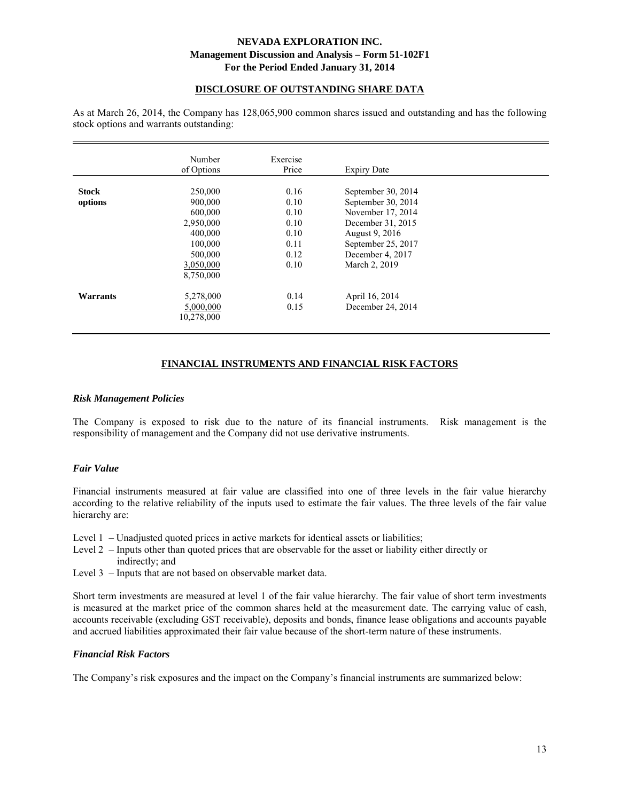# **DISCLOSURE OF OUTSTANDING SHARE DATA**

As at March 26, 2014, the Company has 128,065,900 common shares issued and outstanding and has the following stock options and warrants outstanding:

|                         | Number<br>of Options                                                      | Exercise<br>Price                            | <b>Expiry Date</b>                                                                                                         |  |
|-------------------------|---------------------------------------------------------------------------|----------------------------------------------|----------------------------------------------------------------------------------------------------------------------------|--|
| <b>Stock</b><br>options | 250,000<br>900,000<br>600,000<br>2,950,000<br>400,000<br>100,000          | 0.16<br>0.10<br>0.10<br>0.10<br>0.10<br>0.11 | September 30, 2014<br>September 30, 2014<br>November 17, 2014<br>December 31, 2015<br>August 9, 2016<br>September 25, 2017 |  |
| <b>Warrants</b>         | 500,000<br>3,050,000<br>8,750,000<br>5,278,000<br>5,000,000<br>10,278,000 | 0.12<br>0.10<br>0.14<br>0.15                 | December 4, 2017<br>March 2, 2019<br>April 16, 2014<br>December 24, 2014                                                   |  |

# **FINANCIAL INSTRUMENTS AND FINANCIAL RISK FACTORS**

#### *Risk Management Policies*

The Company is exposed to risk due to the nature of its financial instruments. Risk management is the responsibility of management and the Company did not use derivative instruments.

## *Fair Value*

Financial instruments measured at fair value are classified into one of three levels in the fair value hierarchy according to the relative reliability of the inputs used to estimate the fair values. The three levels of the fair value hierarchy are:

Level 1 – Unadjusted quoted prices in active markets for identical assets or liabilities;

- Level 2 Inputs other than quoted prices that are observable for the asset or liability either directly or indirectly; and
- Level 3 Inputs that are not based on observable market data.

Short term investments are measured at level 1 of the fair value hierarchy. The fair value of short term investments is measured at the market price of the common shares held at the measurement date. The carrying value of cash, accounts receivable (excluding GST receivable), deposits and bonds, finance lease obligations and accounts payable and accrued liabilities approximated their fair value because of the short-term nature of these instruments.

## *Financial Risk Factors*

The Company's risk exposures and the impact on the Company's financial instruments are summarized below: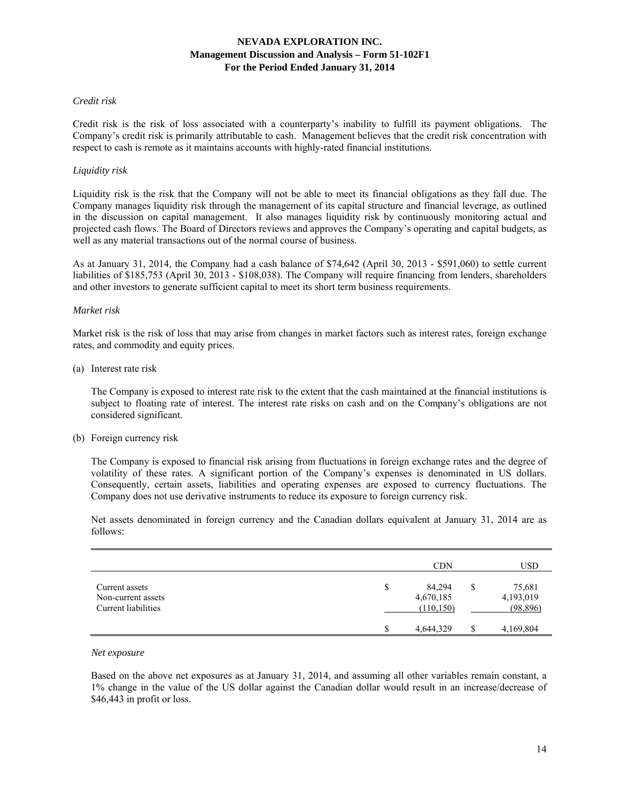#### *Credit risk*

Credit risk is the risk of loss associated with a counterparty's inability to fulfill its payment obligations. The Company's credit risk is primarily attributable to cash. Management believes that the credit risk concentration with respect to cash is remote as it maintains accounts with highly-rated financial institutions.

#### *Liquidity risk*

Liquidity risk is the risk that the Company will not be able to meet its financial obligations as they fall due. The Company manages liquidity risk through the management of its capital structure and financial leverage, as outlined in the discussion on capital management. It also manages liquidity risk by continuously monitoring actual and projected cash flows. The Board of Directors reviews and approves the Company's operating and capital budgets, as well as any material transactions out of the normal course of business.

As at January 31, 2014, the Company had a cash balance of \$74,642 (April 30, 2013 - \$591,060) to settle current liabilities of \$185,753 (April 30, 2013 - \$108,038). The Company will require financing from lenders, shareholders and other investors to generate sufficient capital to meet its short term business requirements.

#### *Market risk*

Market risk is the risk of loss that may arise from changes in market factors such as interest rates, foreign exchange rates, and commodity and equity prices.

(a) Interest rate risk

 The Company is exposed to interest rate risk to the extent that the cash maintained at the financial institutions is subject to floating rate of interest. The interest rate risks on cash and on the Company's obligations are not considered significant.

(b) Foreign currency risk

 The Company is exposed to financial risk arising from fluctuations in foreign exchange rates and the degree of volatility of these rates. A significant portion of the Company's expenses is denominated in US dollars. Consequently, certain assets, liabilities and operating expenses are exposed to currency fluctuations. The Company does not use derivative instruments to reduce its exposure to foreign currency risk.

 Net assets denominated in foreign currency and the Canadian dollars equivalent at January 31, 2014 are as follows:

|                                                             | <b>CDN</b>                              | <b>USD</b>                             |
|-------------------------------------------------------------|-----------------------------------------|----------------------------------------|
| Current assets<br>Non-current assets<br>Current liabilities | \$<br>84,294<br>4,670,185<br>(110, 150) | \$<br>75,681<br>4,193,019<br>(98, 896) |
|                                                             | 4,644,329                               | 4,169,804                              |

#### *Net exposure*

 Based on the above net exposures as at January 31, 2014, and assuming all other variables remain constant, a 1% change in the value of the US dollar against the Canadian dollar would result in an increase/decrease of \$46,443 in profit or loss.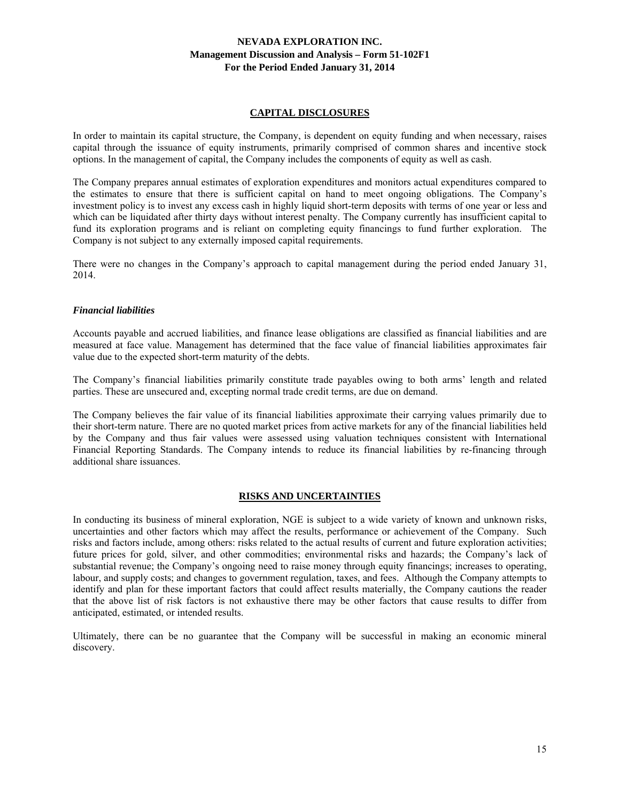#### **CAPITAL DISCLOSURES**

In order to maintain its capital structure, the Company, is dependent on equity funding and when necessary, raises capital through the issuance of equity instruments, primarily comprised of common shares and incentive stock options. In the management of capital, the Company includes the components of equity as well as cash.

The Company prepares annual estimates of exploration expenditures and monitors actual expenditures compared to the estimates to ensure that there is sufficient capital on hand to meet ongoing obligations. The Company's investment policy is to invest any excess cash in highly liquid short-term deposits with terms of one year or less and which can be liquidated after thirty days without interest penalty. The Company currently has insufficient capital to fund its exploration programs and is reliant on completing equity financings to fund further exploration. The Company is not subject to any externally imposed capital requirements.

There were no changes in the Company's approach to capital management during the period ended January 31, 2014.

#### *Financial liabilities*

Accounts payable and accrued liabilities, and finance lease obligations are classified as financial liabilities and are measured at face value. Management has determined that the face value of financial liabilities approximates fair value due to the expected short-term maturity of the debts.

The Company's financial liabilities primarily constitute trade payables owing to both arms' length and related parties. These are unsecured and, excepting normal trade credit terms, are due on demand.

The Company believes the fair value of its financial liabilities approximate their carrying values primarily due to their short-term nature. There are no quoted market prices from active markets for any of the financial liabilities held by the Company and thus fair values were assessed using valuation techniques consistent with International Financial Reporting Standards. The Company intends to reduce its financial liabilities by re-financing through additional share issuances.

## **RISKS AND UNCERTAINTIES**

In conducting its business of mineral exploration, NGE is subject to a wide variety of known and unknown risks, uncertainties and other factors which may affect the results, performance or achievement of the Company. Such risks and factors include, among others: risks related to the actual results of current and future exploration activities; future prices for gold, silver, and other commodities; environmental risks and hazards; the Company's lack of substantial revenue; the Company's ongoing need to raise money through equity financings; increases to operating, labour, and supply costs; and changes to government regulation, taxes, and fees. Although the Company attempts to identify and plan for these important factors that could affect results materially, the Company cautions the reader that the above list of risk factors is not exhaustive there may be other factors that cause results to differ from anticipated, estimated, or intended results.

Ultimately, there can be no guarantee that the Company will be successful in making an economic mineral discovery.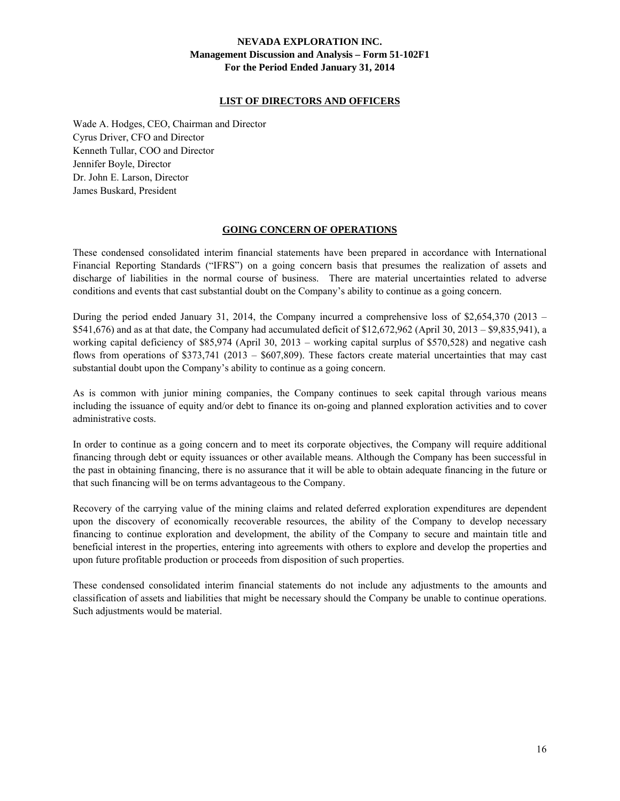## **LIST OF DIRECTORS AND OFFICERS**

Wade A. Hodges, CEO, Chairman and Director Cyrus Driver, CFO and Director Kenneth Tullar, COO and Director Jennifer Boyle, Director Dr. John E. Larson, Director James Buskard, President

#### **GOING CONCERN OF OPERATIONS**

These condensed consolidated interim financial statements have been prepared in accordance with International Financial Reporting Standards ("IFRS") on a going concern basis that presumes the realization of assets and discharge of liabilities in the normal course of business. There are material uncertainties related to adverse conditions and events that cast substantial doubt on the Company's ability to continue as a going concern.

During the period ended January 31, 2014, the Company incurred a comprehensive loss of \$2,654,370 (2013 – \$541,676) and as at that date, the Company had accumulated deficit of \$12,672,962 (April 30, 2013 – \$9,835,941), a working capital deficiency of \$85,974 (April 30, 2013 – working capital surplus of \$570,528) and negative cash flows from operations of \$373,741 (2013 – \$607,809). These factors create material uncertainties that may cast substantial doubt upon the Company's ability to continue as a going concern.

As is common with junior mining companies, the Company continues to seek capital through various means including the issuance of equity and/or debt to finance its on-going and planned exploration activities and to cover administrative costs.

In order to continue as a going concern and to meet its corporate objectives, the Company will require additional financing through debt or equity issuances or other available means. Although the Company has been successful in the past in obtaining financing, there is no assurance that it will be able to obtain adequate financing in the future or that such financing will be on terms advantageous to the Company.

Recovery of the carrying value of the mining claims and related deferred exploration expenditures are dependent upon the discovery of economically recoverable resources, the ability of the Company to develop necessary financing to continue exploration and development, the ability of the Company to secure and maintain title and beneficial interest in the properties, entering into agreements with others to explore and develop the properties and upon future profitable production or proceeds from disposition of such properties.

These condensed consolidated interim financial statements do not include any adjustments to the amounts and classification of assets and liabilities that might be necessary should the Company be unable to continue operations. Such adjustments would be material.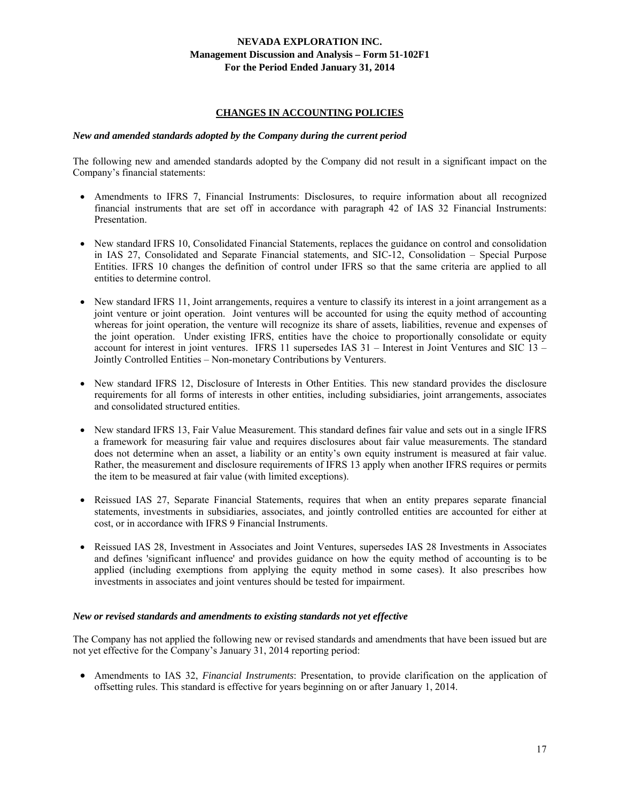## **CHANGES IN ACCOUNTING POLICIES**

#### *New and amended standards adopted by the Company during the current period*

The following new and amended standards adopted by the Company did not result in a significant impact on the Company's financial statements:

- Amendments to IFRS 7, Financial Instruments: Disclosures, to require information about all recognized financial instruments that are set off in accordance with paragraph 42 of IAS 32 Financial Instruments: Presentation.
- New standard IFRS 10, Consolidated Financial Statements, replaces the guidance on control and consolidation in IAS 27, Consolidated and Separate Financial statements, and SIC-12, Consolidation – Special Purpose Entities. IFRS 10 changes the definition of control under IFRS so that the same criteria are applied to all entities to determine control.
- New standard IFRS 11, Joint arrangements, requires a venture to classify its interest in a joint arrangement as a joint venture or joint operation. Joint ventures will be accounted for using the equity method of accounting whereas for joint operation, the venture will recognize its share of assets, liabilities, revenue and expenses of the joint operation. Under existing IFRS, entities have the choice to proportionally consolidate or equity account for interest in joint ventures. IFRS 11 supersedes IAS 31 – Interest in Joint Ventures and SIC 13 – Jointly Controlled Entities – Non-monetary Contributions by Venturers.
- New standard IFRS 12, Disclosure of Interests in Other Entities. This new standard provides the disclosure requirements for all forms of interests in other entities, including subsidiaries, joint arrangements, associates and consolidated structured entities.
- New standard IFRS 13, Fair Value Measurement. This standard defines fair value and sets out in a single IFRS a framework for measuring fair value and requires disclosures about fair value measurements. The standard does not determine when an asset, a liability or an entity's own equity instrument is measured at fair value. Rather, the measurement and disclosure requirements of IFRS 13 apply when another IFRS requires or permits the item to be measured at fair value (with limited exceptions).
- Reissued IAS 27, Separate Financial Statements, requires that when an entity prepares separate financial statements, investments in subsidiaries, associates, and jointly controlled entities are accounted for either at cost, or in accordance with IFRS 9 Financial Instruments.
- Reissued IAS 28, Investment in Associates and Joint Ventures, supersedes IAS 28 Investments in Associates and defines 'significant influence' and provides guidance on how the equity method of accounting is to be applied (including exemptions from applying the equity method in some cases). It also prescribes how investments in associates and joint ventures should be tested for impairment.

#### *New or revised standards and amendments to existing standards not yet effective*

The Company has not applied the following new or revised standards and amendments that have been issued but are not yet effective for the Company's January 31, 2014 reporting period:

 Amendments to IAS 32, *Financial Instruments*: Presentation, to provide clarification on the application of offsetting rules. This standard is effective for years beginning on or after January 1, 2014.